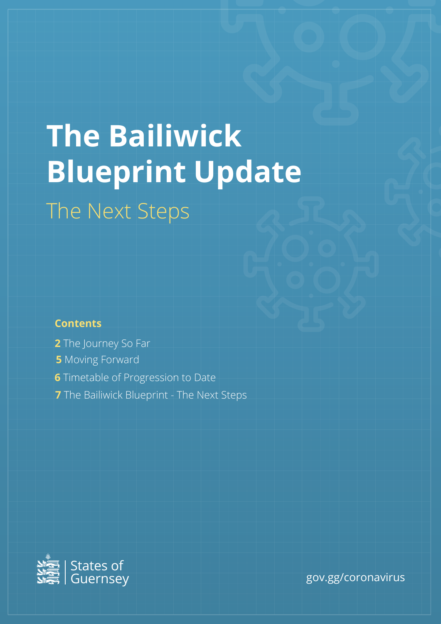# **The Bailiwick Blueprint Update** The Next Steps

# **Contents**

- **2** The Journey So Far
- **5** Moving Forward
- **6** Timetable of Progression to Date
- **7** The Bailiwick Blueprint The Next Steps



gov.gg/coronavirus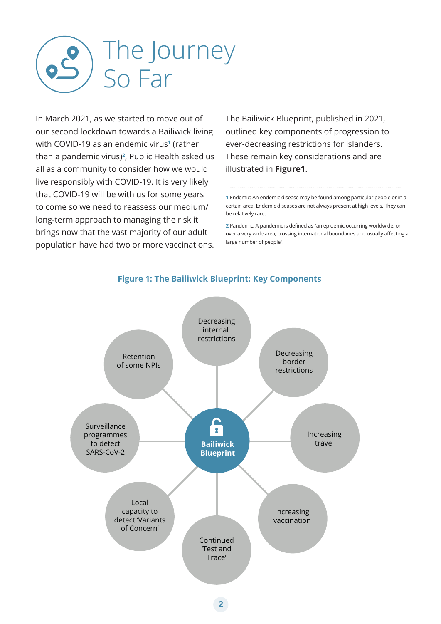

In March 2021, as we started to move out of our second lockdown towards a Bailiwick living with COVID-19 as an endemic virus**<sup>1</sup>** (rather than a pandemic virus)**<sup>2</sup>** , Public Health asked us all as a community to consider how we would live responsibly with COVID-19. It is very likely that COVID-19 will be with us for some years to come so we need to reassess our medium/ long-term approach to managing the risk it brings now that the vast majority of our adult population have had two or more vaccinations.

The Bailiwick Blueprint, published in 2021, outlined key components of progression to ever-decreasing restrictions for islanders. These remain key considerations and are illustrated in **Figure1**.

**1** Endemic: An endemic disease may be found among particular people or in a certain area. Endemic diseases are not always present at high levels. They can be relatively rare.

**2** Pandemic: A pandemic is defined as "an epidemic occurring worldwide, or over a very wide area, crossing international boundaries and usually affecting a large number of people".



# **Figure 1: The Bailiwick Blueprint: Key Components**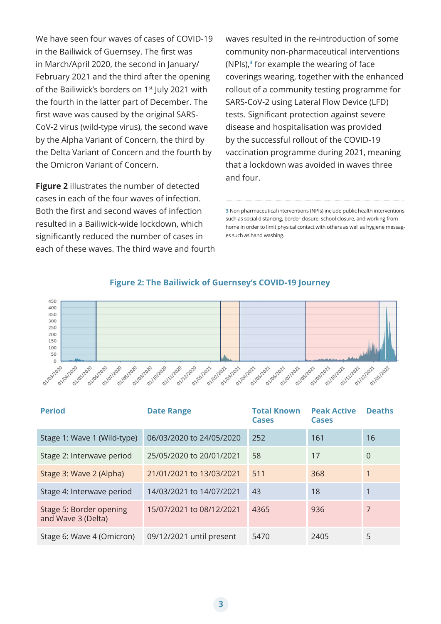We have seen four waves of cases of COVID-19 in the Bailiwick of Guernsey. The first was in March/April 2020, the second in January/ February 2021 and the third after the opening of the Bailiwick's borders on 1<sup>st</sup> July 2021 with the fourth in the latter part of December. The first wave was caused by the original SARS-CoV-2 virus (wild-type virus), the second wave by the Alpha Variant of Concern, the third by the Delta Variant of Concern and the fourth by the Omicron Variant of Concern.

**Figure 2** illustrates the number of detected cases in each of the four waves of infection. Both the first and second waves of infection resulted in a Bailiwick-wide lockdown, which significantly reduced the number of cases in each of these waves. The third wave and fourth waves resulted in the re-introduction of some community non-pharmaceutical interventions (NPIs),**<sup>3</sup>** for example the wearing of face coverings wearing, together with the enhanced rollout of a community testing programme for SARS-CoV-2 using Lateral Flow Device (LFD) tests. Significant protection against severe disease and hospitalisation was provided by the successful rollout of the COVID-19 vaccination programme during 2021, meaning that a lockdown was avoided in waves three and four.

**3** Non pharmaceutical interventions (NPIs) include public health interventions such as social distancing, border closure, school closure, and working from home in order to limit physical contact with others as well as hygiene messages such as hand washing.



#### **Figure 2: The Bailiwick of Guernsey's COVID-19 Journey**

| <b>Period</b>                                 | <b>Date Range</b>        | <b>Total Known</b><br><b>Cases</b> | <b>Peak Active</b><br><b>Cases</b> | <b>Deaths</b>  |
|-----------------------------------------------|--------------------------|------------------------------------|------------------------------------|----------------|
| Stage 1: Wave 1 (Wild-type)                   | 06/03/2020 to 24/05/2020 | 252                                | 161                                | 16             |
| Stage 2: Interwave period                     | 25/05/2020 to 20/01/2021 | 58                                 | 17                                 | $\overline{0}$ |
| Stage 3: Wave 2 (Alpha)                       | 21/01/2021 to 13/03/2021 | 511                                | 368                                | 1              |
| Stage 4: Interwave period                     | 14/03/2021 to 14/07/2021 | 43                                 | 18                                 |                |
| Stage 5: Border opening<br>and Wave 3 (Delta) | 15/07/2021 to 08/12/2021 | 4365                               | 936                                | 7              |
| Stage 6: Wave 4 (Omicron)                     | 09/12/2021 until present | 5470                               | 2405                               | 5              |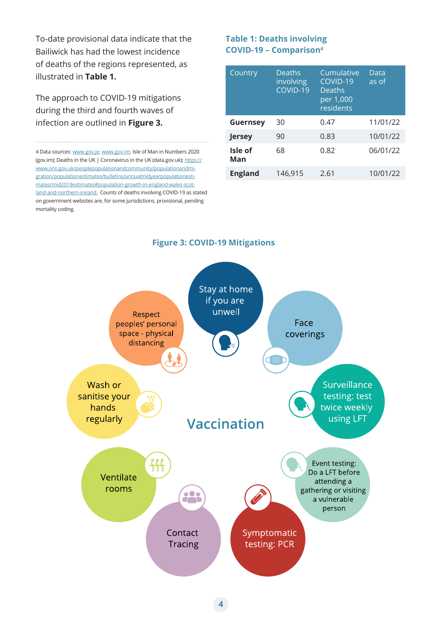To-date provisional data indicate that the Bailiwick has had the lowest incidence of deaths of the regions represented, as illustrated in **Table 1.** 

The approach to COVID-19 mitigations during the third and fourth waves of infection are outlined in **Figure 3.**

**4** Data sources: www.gov.je; www.gov.im; Isle of Man in Numbers 2020 (gov.im); Deaths in the UK | Coronavirus in the UK (data.gov.uk); https:// www.ons.gov.uk/peoplepopulationandcommunity/populationandmigration/populationestimates/bulletins/annualmidyearpopulationestimates/mid2019estimates#population-growth-in-england-wales-scotland-and-northern-ireland. Counts of deaths involving COVID-19 as stated on government websites are, for some jurisdictions, provisional, pending mortality coding.

## **Table 1: Deaths involving COVID-19 – Comparison4**

| Country         | <b>Deaths</b><br>involving<br>COVID-19 | Cumulative<br>COVID-19<br><b>Deaths</b><br>per 1,000<br>residents | Data<br>as of |
|-----------------|----------------------------------------|-------------------------------------------------------------------|---------------|
| <b>Guernsey</b> | 30                                     | 0.47                                                              | 11/01/22      |
| <b>Jersey</b>   | 90                                     | 0.83                                                              | 10/01/22      |
| Isle of<br>Man  | 68                                     | 0.82                                                              | 06/01/22      |
| <b>England</b>  | 146,915                                | 2.61                                                              | 10/01/22      |



#### **Figure 3: COVID-19 Mitigations**

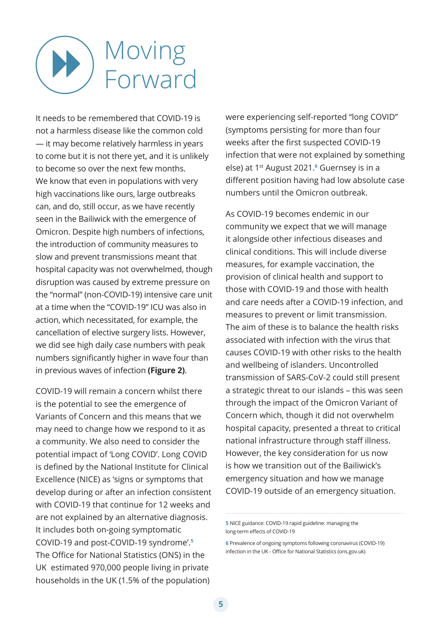# Moving Forward

It needs to be remembered that COVID-19 is not a harmless disease like the common cold — it may become relatively harmless in years to come but it is not there yet, and it is unlikely to become so over the next few months. We know that even in populations with very high vaccinations like ours, large outbreaks can, and do, still occur, as we have recently seen in the Bailiwick with the emergence of Omicron. Despite high numbers of infections, the introduction of community measures to slow and prevent transmissions meant that hospital capacity was not overwhelmed, though disruption was caused by extreme pressure on the "normal" (non-COVID-19) intensive care unit at a time when the "COVID-19" ICU was also in action, which necessitated, for example, the cancellation of elective surgery lists. However, we did see high daily case numbers with peak numbers significantly higher in wave four than in previous waves of infection **(Figure 2)**.

COVID-19 will remain a concern whilst there is the potential to see the emergence of Variants of Concern and this means that we may need to change how we respond to it as a community. We also need to consider the potential impact of 'Long COVID'. Long COVID is defined by the National Institute for Clinical Excellence (NICE) as 'signs or symptoms that develop during or after an infection consistent with COVID-19 that continue for 12 weeks and are not explained by an alternative diagnosis. It includes both on-going symptomatic COVID-19 and post-COVID-19 syndrome'.**<sup>5</sup>** The Office for National Statistics (ONS) in the UK estimated 970,000 people living in private households in the UK (1.5% of the population)

were experiencing self-reported "long COVID" (symptoms persisting for more than four weeks after the first suspected COVID-19 infection that were not explained by something else) at 1st August 2021.**<sup>6</sup>** Guernsey is in a different position having had low absolute case numbers until the Omicron outbreak.

As COVID-19 becomes endemic in our community we expect that we will manage it alongside other infectious diseases and clinical conditions. This will include diverse measures, for example vaccination, the provision of clinical health and support to those with COVID-19 and those with health and care needs after a COVID-19 infection, and measures to prevent or limit transmission. The aim of these is to balance the health risks associated with infection with the virus that causes COVID-19 with other risks to the health and wellbeing of islanders. Uncontrolled transmission of SARS-CoV-2 could still present a strategic threat to our islands – this was seen through the impact of the Omicron Variant of Concern which, though it did not overwhelm hospital capacity, presented a threat to critical national infrastructure through staff illness. However, the key consideration for us now is how we transition out of the Bailiwick's emergency situation and how we manage COVID-19 outside of an emergency situation.

**<sup>5</sup>** NICE guidance: COVID-19 rapid guideline: managing the long-term effects of COVID-19

**<sup>6</sup>** Prevalence of ongoing symptoms following coronavirus (COVID-19) infection in the UK - Office for National Statistics (ons.gov.uk)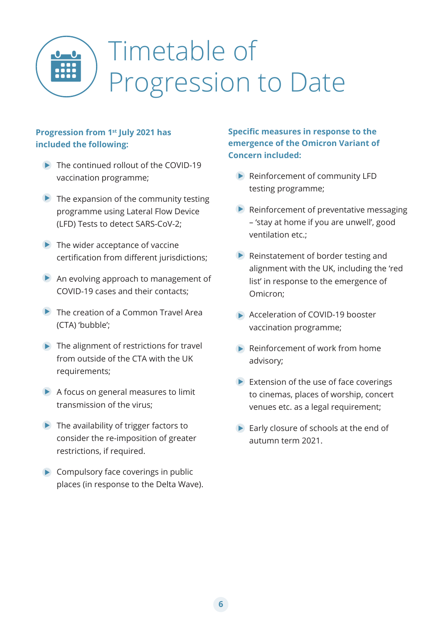

# Timetable of Progression to Date

# **Progression from 1st July 2021 has included the following:**

- **■** The continued rollout of the COVID-19 vaccination programme;
- $\blacktriangleright$  The expansion of the community testing programme using Lateral Flow Device (LFD) Tests to detect SARS-CoV-2;
- $\blacktriangleright$  The wider acceptance of vaccine certification from different jurisdictions;
- An evolving approach to management of COVID-19 cases and their contacts;
- **►** The creation of a Common Travel Area (CTA) 'bubble';
- $\blacktriangleright$  The alignment of restrictions for travel from outside of the CTA with the UK requirements;
- $\blacktriangleright$  A focus on general measures to limit transmission of the virus;
- $\blacktriangleright$  The availability of trigger factors to consider the re-imposition of greater restrictions, if required.
- $\triangleright$  Compulsory face coverings in public places (in response to the Delta Wave).

# **Specific measures in response to the emergence of the Omicron Variant of Concern included:**

- ▶ Reinforcement of community LFD testing programme;
- $\blacktriangleright$  Reinforcement of preventative messaging – 'stay at home if you are unwell', good ventilation etc.;
- $\blacktriangleright$  Reinstatement of border testing and alignment with the UK, including the 'red list' in response to the emergence of Omicron;
- Acceleration of COVID-19 booster vaccination programme;
- **▶ Reinforcement of work from home** advisory;
- $\blacktriangleright$  Extension of the use of face coverings to cinemas, places of worship, concert venues etc. as a legal requirement;
- Early closure of schools at the end of autumn term 2021.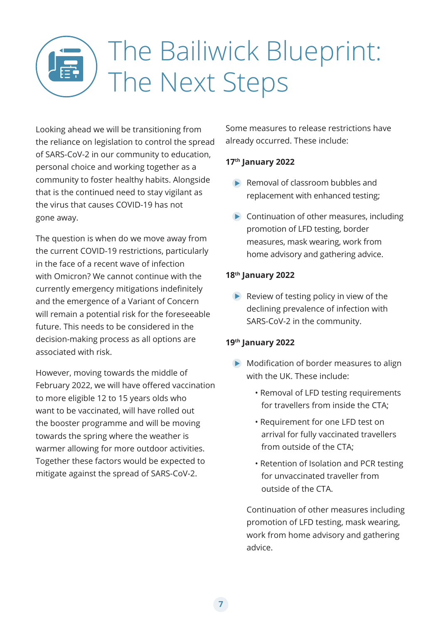# The Bailiwick Blueprint: The Next Steps

Looking ahead we will be transitioning from the reliance on legislation to control the spread of SARS-CoV-2 in our community to education, personal choice and working together as a community to foster healthy habits. Alongside that is the continued need to stay vigilant as the virus that causes COVID-19 has not gone away.

The question is when do we move away from the current COVID-19 restrictions, particularly in the face of a recent wave of infection with Omicron? We cannot continue with the currently emergency mitigations indefinitely and the emergence of a Variant of Concern will remain a potential risk for the foreseeable future. This needs to be considered in the decision-making process as all options are associated with risk.

However, moving towards the middle of February 2022, we will have offered vaccination to more eligible 12 to 15 years olds who want to be vaccinated, will have rolled out the booster programme and will be moving towards the spring where the weather is warmer allowing for more outdoor activities. Together these factors would be expected to mitigate against the spread of SARS-CoV-2.

Some measures to release restrictions have already occurred. These include:

# **17th January 2022**

- Removal of classroom bubbles and replacement with enhanced testing;
- **Continuation of other measures, including** promotion of LFD testing, border measures, mask wearing, work from home advisory and gathering advice.

# **18th January 2022**

 $\blacktriangleright$  Review of testing policy in view of the declining prevalence of infection with SARS-CoV-2 in the community.

# **19th January 2022**

- Modification of border measures to align with the UK. These include:
	- Removal of LFD testing requirements for travellers from inside the CTA;
	- Requirement for one LFD test on arrival for fully vaccinated travellers from outside of the CTA;
	- Retention of Isolation and PCR testing for unvaccinated traveller from outside of the CTA.

Continuation of other measures including promotion of LFD testing, mask wearing, work from home advisory and gathering advice.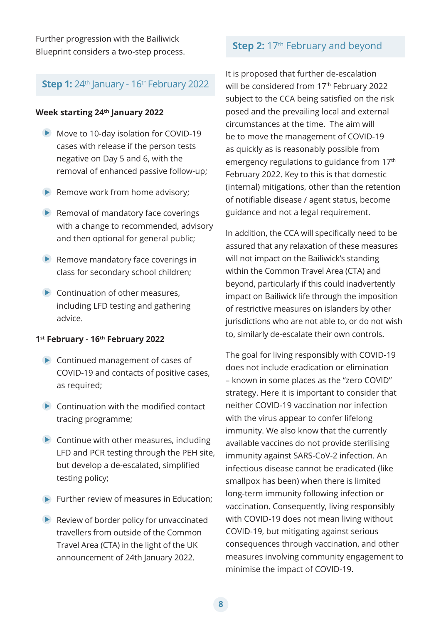Further progression with the Bailiwick Blueprint considers a two-step process.

### **Step 1:** 24<sup>th</sup> January - 16<sup>th</sup> February 2022

#### **Week starting 24th January 2022**

- Move to 10-day isolation for COVID-19 cases with release if the person tests negative on Day 5 and 6, with the removal of enhanced passive follow-up;
- $\blacktriangleright$  Remove work from home advisory;
- $\blacktriangleright$  Removal of mandatory face coverings with a change to recommended, advisory and then optional for general public;
- $\blacktriangleright$  Remove mandatory face coverings in class for secondary school children;
- $\blacktriangleright$  Continuation of other measures, including LFD testing and gathering advice.

#### **1st February - 16th February 2022**

- **►** Continued management of cases of COVID-19 and contacts of positive cases, as required;
- $\bullet$  Continuation with the modified contact tracing programme;
- $\blacktriangleright$  Continue with other measures, including LFD and PCR testing through the PEH site, but develop a de-escalated, simplified testing policy;
- $\blacktriangleright$  Further review of measures in Education:
- $\blacktriangleright$  Review of border policy for unvaccinated travellers from outside of the Common Travel Area (CTA) in the light of the UK announcement of 24th January 2022.

# **Step 2:** 17<sup>th</sup> February and beyond

It is proposed that further de-escalation will be considered from 17<sup>th</sup> February 2022 subject to the CCA being satisfied on the risk posed and the prevailing local and external circumstances at the time. The aim will be to move the management of COVID-19 as quickly as is reasonably possible from emergency regulations to guidance from 17<sup>th</sup> February 2022. Key to this is that domestic (internal) mitigations, other than the retention of notifiable disease / agent status, become guidance and not a legal requirement.

In addition, the CCA will specifically need to be assured that any relaxation of these measures will not impact on the Bailiwick's standing within the Common Travel Area (CTA) and beyond, particularly if this could inadvertently impact on Bailiwick life through the imposition of restrictive measures on islanders by other jurisdictions who are not able to, or do not wish to, similarly de-escalate their own controls.

The goal for living responsibly with COVID-19 does not include eradication or elimination – known in some places as the "zero COVID" strategy. Here it is important to consider that neither COVID-19 vaccination nor infection with the virus appear to confer lifelong immunity. We also know that the currently available vaccines do not provide sterilising immunity against SARS-CoV-2 infection. An infectious disease cannot be eradicated (like smallpox has been) when there is limited long-term immunity following infection or vaccination. Consequently, living responsibly with COVID-19 does not mean living without COVID-19, but mitigating against serious consequences through vaccination, and other measures involving community engagement to minimise the impact of COVID-19.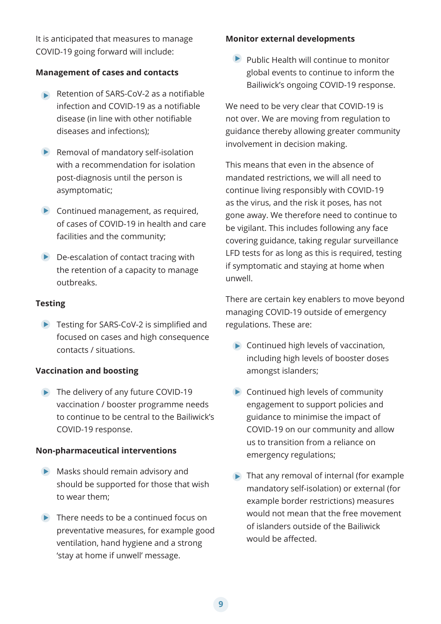It is anticipated that measures to manage COVID-19 going forward will include:

#### **Management of cases and contacts**

- Retention of SARS-CoV-2 as a notifiable infection and COVID-19 as a notifiable disease (in line with other notifiable diseases and infections);
- $\blacktriangleright$  Removal of mandatory self-isolation with a recommendation for isolation post-diagnosis until the person is asymptomatic;
- Continued management, as required, of cases of COVID-19 in health and care facilities and the community;
- $\triangleright$  De-escalation of contact tracing with the retention of a capacity to manage outbreaks.

#### **Testing**

▶ Testing for SARS-CoV-2 is simplified and focused on cases and high consequence contacts / situations.

#### **Vaccination and boosting**

▶ The delivery of any future COVID-19 vaccination / booster programme needs to continue to be central to the Bailiwick's COVID-19 response.

#### **Non-pharmaceutical interventions**

- **Masks should remain advisory and** should be supported for those that wish to wear them;
- $\blacktriangleright$  There needs to be a continued focus on preventative measures, for example good ventilation, hand hygiene and a strong 'stay at home if unwell' message.

### **Monitor external developments**

 $\blacktriangleright$  Public Health will continue to monitor global events to continue to inform the Bailiwick's ongoing COVID-19 response.

We need to be very clear that COVID-19 is not over. We are moving from regulation to guidance thereby allowing greater community involvement in decision making.

This means that even in the absence of mandated restrictions, we will all need to continue living responsibly with COVID-19 as the virus, and the risk it poses, has not gone away. We therefore need to continue to be vigilant. This includes following any face covering guidance, taking regular surveillance LFD tests for as long as this is required, testing if symptomatic and staying at home when unwell.

There are certain key enablers to move beyond managing COVID-19 outside of emergency regulations. These are:

- Continued high levels of vaccination, including high levels of booster doses amongst islanders;
- **►** Continued high levels of community engagement to support policies and guidance to minimise the impact of COVID-19 on our community and allow us to transition from a reliance on emergency regulations;
- $\blacktriangleright$  That any removal of internal (for example mandatory self-isolation) or external (for example border restrictions) measures would not mean that the free movement of islanders outside of the Bailiwick would be affected.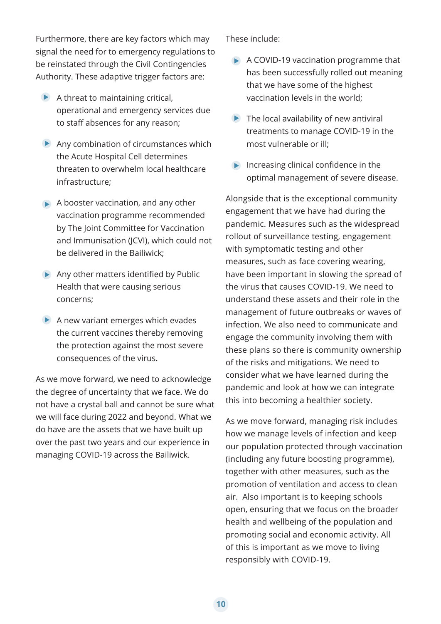Furthermore, there are key factors which may signal the need for to emergency regulations to be reinstated through the Civil Contingencies Authority. These adaptive trigger factors are:

- $\blacktriangleright$  A threat to maintaining critical, operational and emergency services due to staff absences for any reason;
- $\blacktriangleright$  Any combination of circumstances which the Acute Hospital Cell determines threaten to overwhelm local healthcare infrastructure;
- $\blacktriangleright$  A booster vaccination, and any other vaccination programme recommended by The Joint Committee for Vaccination and Immunisation (JCVI), which could not be delivered in the Bailiwick;
- Any other matters identified by Public Health that were causing serious concerns;
- $\blacktriangleright$  A new variant emerges which evades the current vaccines thereby removing the protection against the most severe consequences of the virus.

As we move forward, we need to acknowledge the degree of uncertainty that we face. We do not have a crystal ball and cannot be sure what we will face during 2022 and beyond. What we do have are the assets that we have built up over the past two years and our experience in managing COVID-19 across the Bailiwick.

These include:

- A COVID-19 vaccination programme that has been successfully rolled out meaning that we have some of the highest vaccination levels in the world;
- $\blacktriangleright$  The local availability of new antiviral treatments to manage COVID-19 in the most vulnerable or ill;
- $\triangleright$  Increasing clinical confidence in the optimal management of severe disease.

Alongside that is the exceptional community engagement that we have had during the pandemic. Measures such as the widespread rollout of surveillance testing, engagement with symptomatic testing and other measures, such as face covering wearing, have been important in slowing the spread of the virus that causes COVID-19. We need to understand these assets and their role in the management of future outbreaks or waves of infection. We also need to communicate and engage the community involving them with these plans so there is community ownership of the risks and mitigations. We need to consider what we have learned during the pandemic and look at how we can integrate this into becoming a healthier society.

As we move forward, managing risk includes how we manage levels of infection and keep our population protected through vaccination (including any future boosting programme), together with other measures, such as the promotion of ventilation and access to clean air. Also important is to keeping schools open, ensuring that we focus on the broader health and wellbeing of the population and promoting social and economic activity. All of this is important as we move to living responsibly with COVID-19.